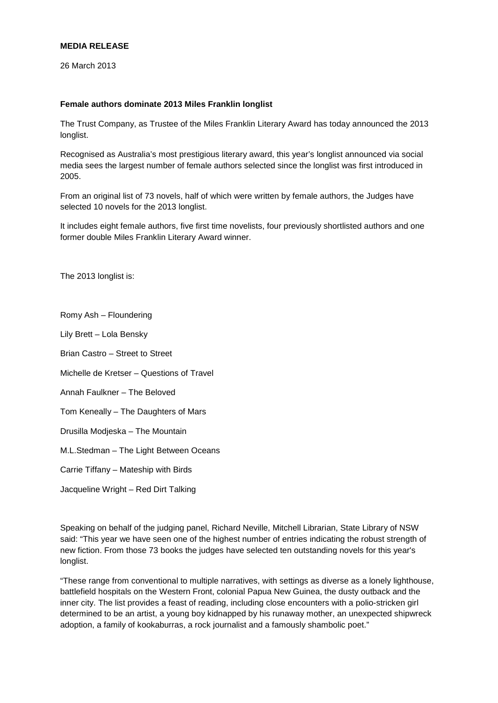## **MEDIA RELEASE**

26 March 2013

## **Female authors dominate 2013 Miles Franklin longlist**

The Trust Company, as Trustee of the Miles Franklin Literary Award has today announced the 2013 longlist.

Recognised as Australia's most prestigious literary award, this year's longlist announced via social media sees the largest number of female authors selected since the longlist was first introduced in 2005.

From an original list of 73 novels, half of which were written by female authors, the Judges have selected 10 novels for the 2013 longlist.

It includes eight female authors, five first time novelists, four previously shortlisted authors and one former double Miles Franklin Literary Award winner.

The 2013 longlist is:

Romy Ash – Floundering

Lily Brett – Lola Bensky

Brian Castro – Street to Street

Michelle de Kretser – Questions of Travel

Annah Faulkner – The Beloved

Tom Keneally – The Daughters of Mars

Drusilla Modjeska – The Mountain

M.L.Stedman – The Light Between Oceans

Carrie Tiffany – Mateship with Birds

Jacqueline Wright – Red Dirt Talking

Speaking on behalf of the judging panel, Richard Neville, Mitchell Librarian, State Library of NSW said: "This year we have seen one of the highest number of entries indicating the robust strength of new fiction. From those 73 books the judges have selected ten outstanding novels for this year's longlist.

"These range from conventional to multiple narratives, with settings as diverse as a lonely lighthouse, battlefield hospitals on the Western Front, colonial Papua New Guinea, the dusty outback and the inner city. The list provides a feast of reading, including close encounters with a polio-stricken girl determined to be an artist, a young boy kidnapped by his runaway mother, an unexpected shipwreck adoption, a family of kookaburras, a rock journalist and a famously shambolic poet."